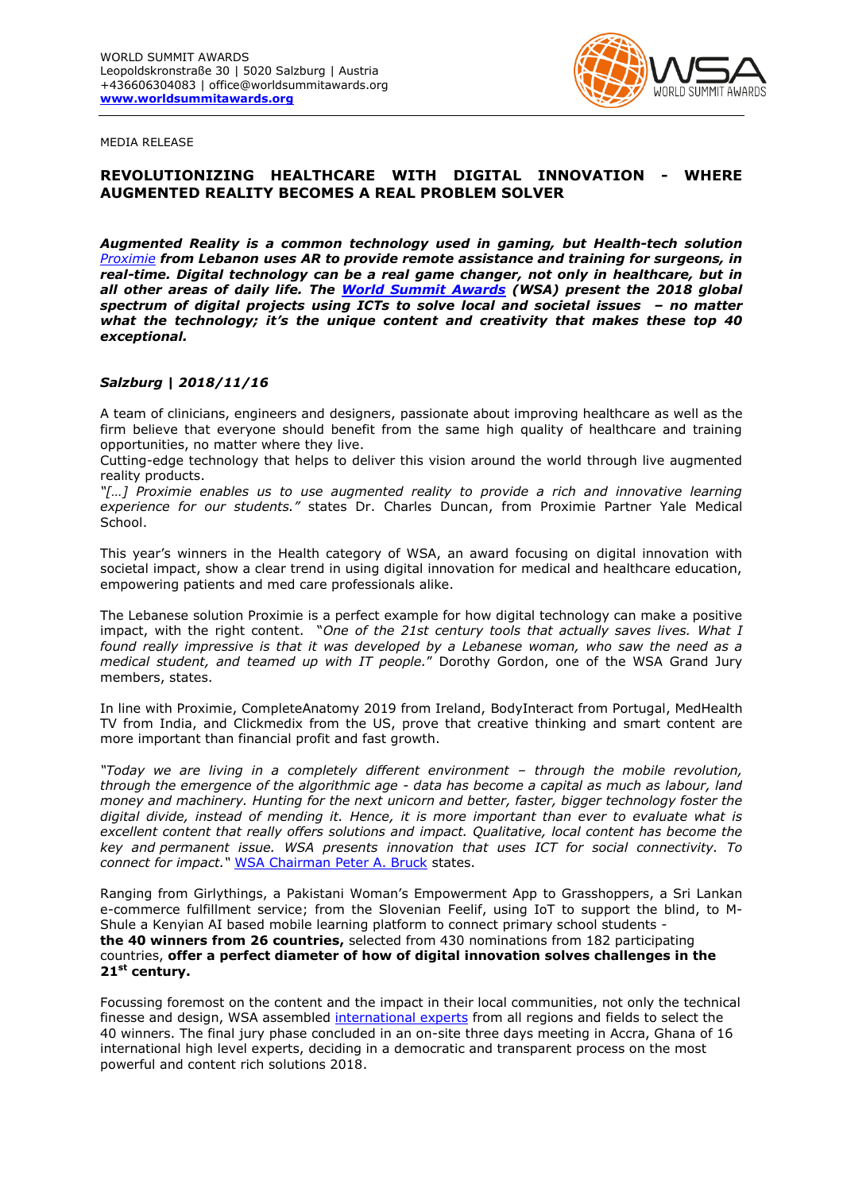

MEDIA RELEASE

## **REVOLUTIONIZING HEALTHCARE WITH DIGITAL INNOVATION - WHERE AUGMENTED REALITY BECOMES A REAL PROBLEM SOLVER**

*Augmented Reality is a common technology used in gaming, but Health-tech solution [Proximie](https://www.worldsummitawards.org/winner/proximie/) from Lebanon uses AR to provide remote assistance and training for surgeons, in real-time. Digital technology can be a real game changer, not only in healthcare, but in all other areas of daily life. The [World Summit Awards](http://www.worldsummitawards.org/) (WSA) present the 2018 global spectrum of digital projects using ICTs to solve local and societal issues – no matter what the technology; it's the unique content and creativity that makes these top 40 exceptional.*

## *Salzburg | 2018/11/16*

A team of clinicians, engineers and designers, passionate about improving healthcare as well as the firm believe that everyone should benefit from the same high quality of healthcare and training opportunities, no matter where they live.

Cutting-edge technology that helps to deliver this vision around the world through live augmented reality products.

*"[…] Proximie enables us to use augmented reality to provide a rich and innovative learning experience for our students."* states Dr. Charles Duncan, from Proximie Partner Yale Medical School.

This year's winners in the Health category of WSA, an award focusing on digital innovation with societal impact, show a clear trend in using digital innovation for medical and healthcare education, empowering patients and med care professionals alike.

The Lebanese solution Proximie is a perfect example for how digital technology can make a positive impact, with the right content. "*One of the 21st century tools that actually saves lives. What I found really impressive is that it was developed by a Lebanese woman, who saw the need as a medical student, and teamed up with IT people.*" Dorothy Gordon, one of the WSA Grand Jury members, states.

In line with Proximie, CompleteAnatomy 2019 from Ireland, BodyInteract from Portugal, MedHealth TV from India, and Clickmedix from the US, prove that creative thinking and smart content are more important than financial profit and fast growth.

*"Today we are living in a completely different environment – through the mobile revolution, through the emergence of the algorithmic age - data has become a capital as much as labour, land money and machinery. Hunting for the next unicorn and better, faster, bigger technology foster the digital divide, instead of mending it. Hence, it is more important than ever to evaluate what is excellent content that really offers solutions and impact. Qualitative, local content has become the key and permanent issue. WSA presents innovation that uses ICT for social connectivity. To connect for impact."* [WSA Chairman Peter A. Bruck](http://www.wsis-award.org/content/wsa-chairman-prof-peter-bruck-119420150216) states.

Ranging from Girlythings, a Pakistani Woman's Empowerment App to Grasshoppers, a Sri Lankan e-commerce fulfillment service; from the Slovenian Feelif, using IoT to support the blind, to M-Shule a Kenyian AI based mobile learning platform to connect primary school students **the 40 winners from 26 countries,** selected from 430 nominations from 182 participating countries, **offer a perfect diameter of how of digital innovation solves challenges in the 21st century.**

Focussing foremost on the content and the impact in their local communities, not only the technical finesse and design, WSA assembled [international experts](https://www.worldsummitawards.org/events/wsa-grand-jury/accra-2018/) from all regions and fields to select the 40 winners. The final jury phase concluded in an on-site three days meeting in Accra, Ghana of 16 international high level experts, deciding in a democratic and transparent process on the most powerful and content rich solutions 2018.